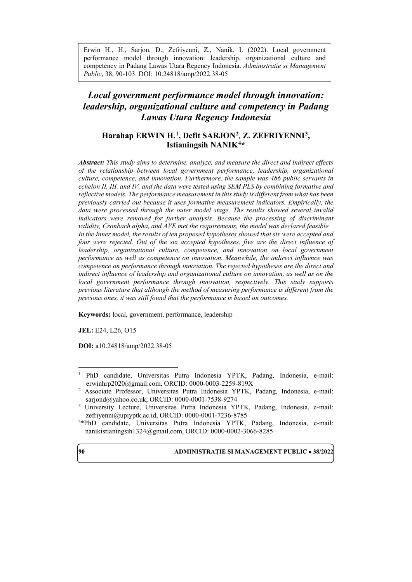Erwin H., H., Sarjon, D., Zefriyenni, Z., Nanik, I. (2022). Local government performance model through innovation: leadership, organizational culture and competency in Padang Lawas Utara Regency Indonesia. *Administratie si Management Public*, 38, 90-103. DOI: 10.24818/amp/2022.38-05

# *Local government performance model through innovation: leadership, organizational culture and competency in Padang Lawas Utara Regency Indonesia*

# **Harahap ERWIN H. [1](#page-0-0), Defit SARJON[2](#page-0-1)***,* **Z. ZEFRIYENNI[3](#page-0-2), Istianingsih NANIK[4](#page-0-3)\***

*Abstract: This study aims to determine, analyze, and measure the direct and indirect effects of the relationship between local government performance, leadership, organizational culture, competence, and innovation. Furthermore, the sample was 486 public servants in echelon II, III, and IV, and the data were tested using SEM PLS by combining formative and reflective models. The performance measurement in this study is different from what has been previously carried out because it uses formative measurement indicators. Empirically, the data were processed through the outer model stage. The results showed several invalid*  indicators were removed for further analysis. Because the processing of discriminant *validity, Cronbach alpha, and AVE met the requirements, the model was declared feasible. In the Inner model, the results of ten proposed hypotheses showed that six were accepted and four were rejected. Out of the six accepted hypotheses, five are the direct influence of leadership, organizational culture, competence, and innovation on local government performance as well as competence on innovation. Meanwhile, the indirect influence was competence on performance through innovation. The rejected hypotheses are the direct and indirect influence of leadership and organizational culture on innovation, as well as on the local government performance through innovation, respectively. This study supports previous literature that although the method of measuring performance is different from the previous ones, it was still found that the performance is based on outcomes.*

**Keywords:** local, government, performance, leadership

**JEL:** E24, L26, O15

**DOI:** a10.24818/amp/2022.38-05



<span id="page-0-0"></span> <sup>1</sup> PhD candidate, Universitas Putra Indonesia YPTK, Padang, Indonesia, e-mail: [erwinhrp2020@gmail.com,](mailto:erwinhrp2020@gmail.com) ORCID: 0000-0003-2259-819X

<span id="page-0-1"></span><sup>2</sup> Associate Professor, Universitas Putra Indonesia YPTK, Padang, Indonesia, e-mail: sarjond@yahoo.co.uk, ORCID: 0000-0001-7538-9274<br><sup>3</sup> University Lecture, Universitas Putra Indonesia YPTK, Padang, Indonesia, e-mail:

<span id="page-0-2"></span>[zefriyenni@upiyptk.ac.id,](mailto:zefriyenni@upiyptk.ac.id) ORCID: 0000-0001-7236-8785

<span id="page-0-3"></span><sup>4</sup> \*PhD candidate, Universitas Putra Indonesia YPTK, Padang, Indonesia, e-mail: [nanikistianingsih1324@gmail.com,](mailto:nanikistianingsih1324@gmail.com) ORCID: 0000-0002-3066-8285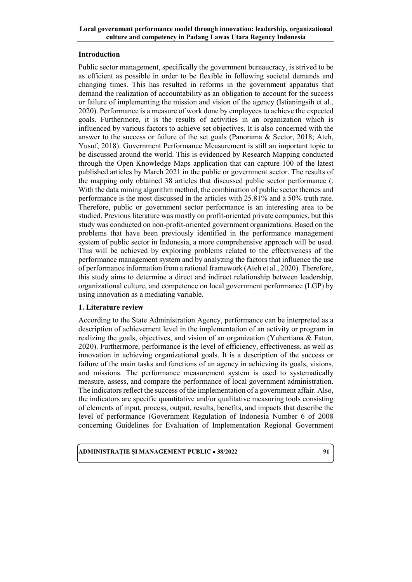## **Introduction**

Public sector management, specifically the government bureaucracy, is strived to be as efficient as possible in order to be flexible in following societal demands and changing times. This has resulted in reforms in the government apparatus that demand the realization of accountability as an obligation to account for the success or failure of implementing the mission and vision of the agency (Istianingsih et al., 2020). Performance is a measure of work done by employees to achieve the expected goals. Furthermore, it is the results of activities in an organization which is influenced by various factors to achieve set objectives. It is also concerned with the answer to the success or failure of the set goals (Panorama & Sector, 2018; Ateh, Yusuf, 2018). Government Performance Measurement is still an important topic to be discussed around the world. This is evidenced by Research Mapping conducted through the Open Knowledge Maps application that can capture 100 of the latest published articles by March 2021 in the public or government sector. The results of the mapping only obtained 38 articles that discussed public sector performance (. With the data mining algorithm method, the combination of public sector themes and performance is the most discussed in the articles with 25.81% and a 50% truth rate. Therefore, public or government sector performance is an interesting area to be studied. Previous literature was mostly on profit-oriented private companies, but this study was conducted on non-profit-oriented government organizations. Based on the problems that have been previously identified in the performance management system of public sector in Indonesia, a more comprehensive approach will be used. This will be achieved by exploring problems related to the effectiveness of the performance management system and by analyzing the factors that influence the use of performance information from a rational framework (Ateh et al., 2020). Therefore, this study aims to determine a direct and indirect relationship between leadership, organizational culture, and competence on local government performance (LGP) by using innovation as a mediating variable.

## **1. Literature review**

According to the State Administration Agency, performance can be interpreted as a description of achievement level in the implementation of an activity or program in realizing the goals, objectives, and vision of an organization (Yuhertiana & Fatun, 2020). Furthermore, performance is the level of efficiency, effectiveness, as well as innovation in achieving organizational goals. It is a description of the success or failure of the main tasks and functions of an agency in achieving its goals, visions, and missions. The performance measurement system is used to systematically measure, assess, and compare the performance of local government administration. The indicators reflect the success of the implementation of a government affair. Also, the indicators are specific quantitative and/or qualitative measuring tools consisting of elements of input, process, output, results, benefits, and impacts that describe the level of performance (Government Regulation of Indonesia Number 6 of 2008 concerning Guidelines for Evaluation of Implementation Regional Government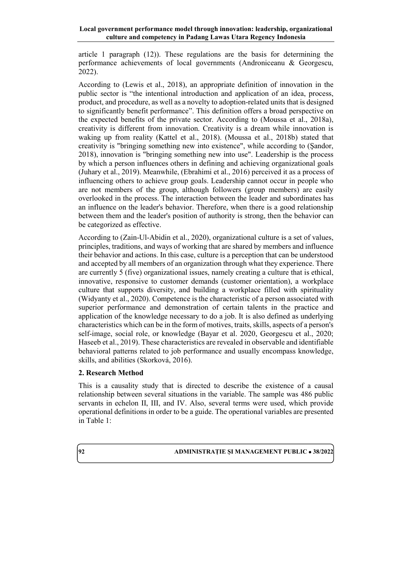article 1 paragraph (12)). These regulations are the basis for determining the performance achievements of local governments (Androniceanu & Georgescu, 2022).

According to (Lewis et al., 2018), an appropriate definition of innovation in the public sector is "the intentional introduction and application of an idea, process, product, and procedure, as well as a novelty to adoption-related units that is designed to significantly benefit performance". This definition offers a broad perspective on the expected benefits of the private sector. According to (Moussa et al., 2018a), creativity is different from innovation. Creativity is a dream while innovation is waking up from reality (Kattel et al., 2018). (Moussa et al., 2018b) stated that creativity is "bringing something new into existence", while according to (Şandor, 2018), innovation is "bringing something new into use". Leadership is the process by which a person influences others in defining and achieving organizational goals (Juhary et al., 2019). Meanwhile, (Ebrahimi et al., 2016) perceived it as a process of influencing others to achieve group goals. Leadership cannot occur in people who are not members of the group, although followers (group members) are easily overlooked in the process. The interaction between the leader and subordinates has an influence on the leader's behavior. Therefore, when there is a good relationship between them and the leader's position of authority is strong, then the behavior can be categorized as effective.

According to (Zain-Ul-Abidin et al., 2020), organizational culture is a set of values, principles, traditions, and ways of working that are shared by members and influence their behavior and actions. In this case, culture is a perception that can be understood and accepted by all members of an organization through what they experience. There are currently 5 (five) organizational issues, namely creating a culture that is ethical, innovative, responsive to customer demands (customer orientation), a workplace culture that supports diversity, and building a workplace filled with spirituality (Widyanty et al., 2020). Competence is the characteristic of a person associated with superior performance and demonstration of certain talents in the practice and application of the knowledge necessary to do a job. It is also defined as underlying characteristics which can be in the form of motives, traits, skills, aspects of a person's self-image, social role, or knowledge (Bayar et al. 2020, Georgescu et al., 2020; Haseeb et al., 2019). These characteristics are revealed in observable and identifiable behavioral patterns related to job performance and usually encompass knowledge, skills, and abilities (Skorková, 2016).

# **2. Research Method**

This is a causality study that is directed to describe the existence of a causal relationship between several situations in the variable. The sample was 486 public servants in echelon II, III, and IV. Also, several terms were used, which provide operational definitions in order to be a guide. The operational variables are presented in Table 1: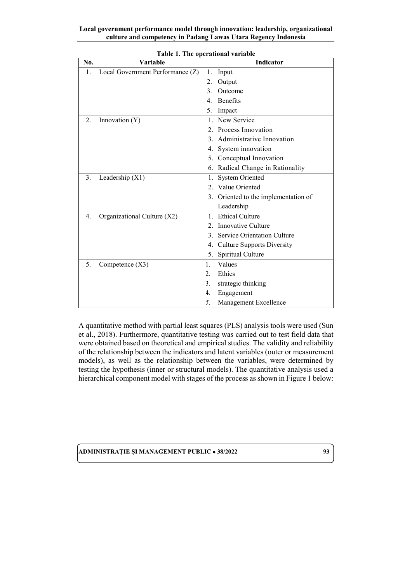| No. | Variable                         | Indicator                               |
|-----|----------------------------------|-----------------------------------------|
| 1.  | Local Government Performance (Z) | 1.<br>Input                             |
|     |                                  | 2.<br>Output                            |
|     |                                  | Outcome<br>3.                           |
|     |                                  | <b>Benefits</b><br>4.                   |
|     |                                  | 5.<br>Impact                            |
| 2.5 | Innovation (Y)                   | New Service<br>$\mathbf{1}$ .           |
|     |                                  | Process Innovation<br>$2_{1}$           |
|     |                                  | Administrative Innovation<br>3.         |
|     |                                  | 4. System innovation                    |
|     |                                  | 5. Conceptual Innovation                |
|     |                                  | Radical Change in Rationality<br>6.     |
| 3.  | Leadership $(X1)$                | <b>System Oriented</b><br>1.            |
|     |                                  | Value Oriented                          |
|     |                                  | 3. Oriented to the implementation of    |
|     |                                  | Leadership                              |
| 4.  | Organizational Culture (X2)      | <b>Ethical Culture</b><br>$\mathbf{1}$  |
|     |                                  | Innovative Culture<br>$\mathfrak{D}$ .  |
|     |                                  | Service Orientation Culture<br>3.       |
|     |                                  | <b>Culture Supports Diversity</b><br>4. |
|     |                                  | Spiritual Culture<br>5.                 |
| 5.  | Competence (X3)                  | Values<br>1.                            |
|     |                                  | Ethics                                  |
|     |                                  | strategic thinking<br>Β.                |
|     |                                  | Engagement<br>4.                        |
|     |                                  | 5.<br>Management Excellence             |

**Table 1. The operational variable**

A quantitative method with partial least squares (PLS) analysis tools were used (Sun et al., 2018). Furthermore, quantitative testing was carried out to test field data that were obtained based on theoretical and empirical studies. The validity and reliability of the relationship between the indicators and latent variables (outer or measurement models), as well as the relationship between the variables, were determined by testing the hypothesis (inner or structural models). The quantitative analysis used a hierarchical component model with stages of the process as shown in Figure 1 below: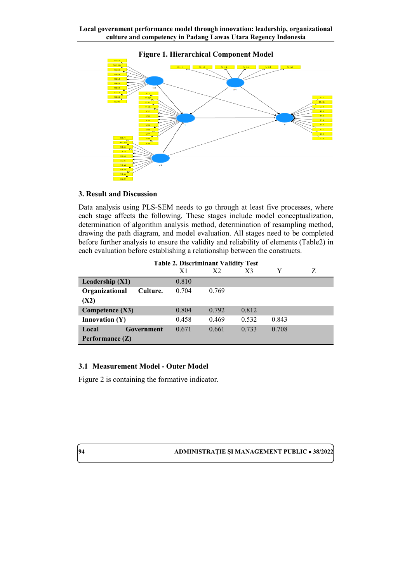

## **Figure 1. Hierarchical Component Model**

## **3. Result and Discussion**

Data analysis using PLS-SEM needs to go through at least five processes, where each stage affects the following. These stages include model conceptualization, determination of algorithm analysis method, determination of resampling method, drawing the path diagram, and model evaluation. All stages need to be completed before further analysis to ensure the validity and reliability of elements (Table2) in each evaluation before establishing a relationship between the constructs.

| <b>Table 2. Discriminant Validity Test</b> |       |                |       |       |  |  |  |
|--------------------------------------------|-------|----------------|-------|-------|--|--|--|
|                                            | X1    | X <sub>2</sub> | X3    | Y     |  |  |  |
| Leadership $(X1)$                          | 0.810 |                |       |       |  |  |  |
| Organizational<br>Culture.                 | 0.704 | 0.769          |       |       |  |  |  |
| (X2)                                       |       |                |       |       |  |  |  |
| Competence (X3)                            | 0.804 | 0.792          | 0.812 |       |  |  |  |
| <b>Innovation</b> $(Y)$                    | 0.458 | 0.469          | 0.532 | 0.843 |  |  |  |
| Local<br>Government                        | 0.671 | 0.661          | 0.733 | 0.708 |  |  |  |
| Performance $(Z)$                          |       |                |       |       |  |  |  |

# **Table 2. Discriminant Validity Test**

## **3.1 Measurement Model - Outer Model**

Figure 2 is containing the formative indicator.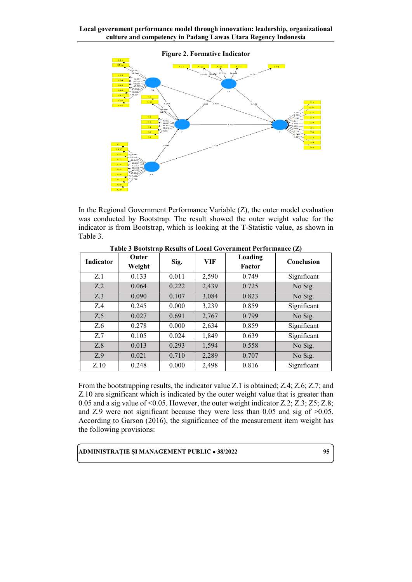

In the Regional Government Performance Variable (Z), the outer model evaluation was conducted by Bootstrap. The result showed the outer weight value for the indicator is from Bootstrap, which is looking at the T-Statistic value, as shown in Table 3.

| Indicator | Outer<br>Weight | Sig.  | <b>VIF</b> | Loading<br>Factor | Conclusion  |
|-----------|-----------------|-------|------------|-------------------|-------------|
| Z.1       | 0.133           | 0.011 | 2,590      | 0.749             | Significant |
| Z.2       | 0.064           | 0.222 | 2,439      | 0.725             | No Sig.     |
| Z.3       | 0.090           | 0.107 | 3.084      | 0.823             | No Sig.     |
| Z.4       | 0.245           | 0.000 | 3,239      | 0.859             | Significant |
| Z.5       | 0.027           | 0.691 | 2,767      | 0.799             | No Sig.     |
| Z.6       | 0.278           | 0.000 | 2,634      | 0.859             | Significant |
| Z.7       | 0.105           | 0.024 | 1,849      | 0.639             | Significant |
| Z.8       | 0.013           | 0.293 | 1,594      | 0.558             | No Sig.     |
| Z.9       | 0.021           | 0.710 | 2,289      | 0.707             | No Sig.     |
| Z.10      | 0.248           | 0.000 | 2,498      | 0.816             | Significant |

**Table 3 Bootstrap Results of Local Government Performance (Z)**

From the bootstrapping results, the indicator value Z.1 is obtained; Z.4; Z.6; Z.7; and Z.10 are significant which is indicated by the outer weight value that is greater than 0.05 and a sig value of <0.05. However, the outer weight indicator Z.2; Z.3; Z5; Z.8; and Z.9 were not significant because they were less than  $0.05$  and sig of  $>0.05$ . According to Garson (2016), the significance of the measurement item weight has the following provisions: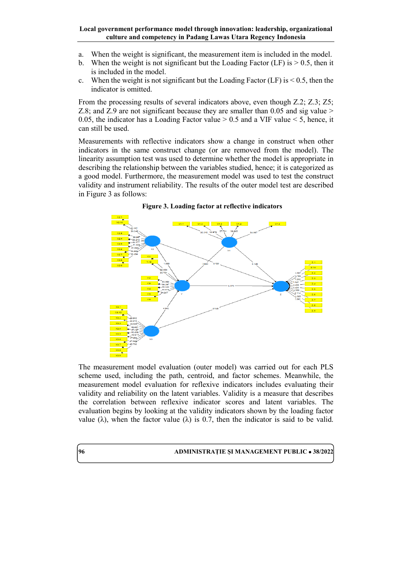- a. When the weight is significant, the measurement item is included in the model.
- b. When the weight is not significant but the Loading Factor (LF) is  $> 0.5$ , then it is included in the model.
- c. When the weight is not significant but the Loading Factor (LF) is  $\leq 0.5$ , then the indicator is omitted.

From the processing results of several indicators above, even though Z.2; Z.3; Z5; Z.8; and Z.9 are not significant because they are smaller than 0.05 and sig value > 0.05, the indicator has a Loading Factor value  $> 0.5$  and a VIF value  $< 5$ , hence, it can still be used.

Measurements with reflective indicators show a change in construct when other indicators in the same construct change (or are removed from the model). The linearity assumption test was used to determine whether the model is appropriate in describing the relationship between the variables studied, hence; it is categorized as a good model. Furthermore, the measurement model was used to test the construct validity and instrument reliability. The results of the outer model test are described in Figure 3 as follows:



**Figure 3. Loading factor at reflective indicators**

The measurement model evaluation (outer model) was carried out for each PLS scheme used, including the path, centroid, and factor schemes. Meanwhile, the measurement model evaluation for reflexive indicators includes evaluating their validity and reliability on the latent variables. Validity is a measure that describes the correlation between reflexive indicator scores and latent variables. The evaluation begins by looking at the validity indicators shown by the loading factor value (λ), when the factor value (λ) is 0.7, then the indicator is said to be valid.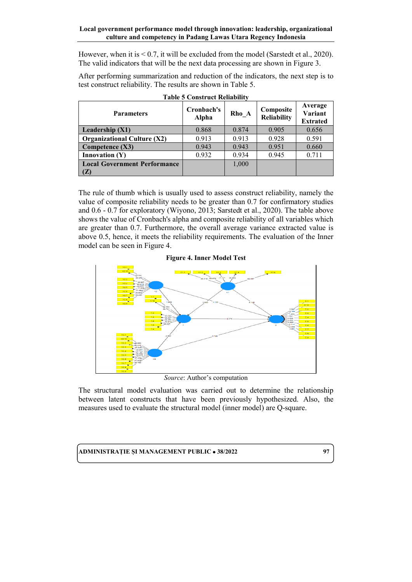However, when it is  $\leq 0.7$ , it will be excluded from the model (Sarstedt et al., 2020). The valid indicators that will be the next data processing are shown in Figure 3.

After performing summarization and reduction of the indicators, the next step is to test construct reliability. The results are shown in Table 5.

| <b>Parameters</b>                   | Cronbach's<br>Alpha | Rho A | Composite<br><b>Reliability</b> | Average<br>Variant<br><b>Extrated</b> |
|-------------------------------------|---------------------|-------|---------------------------------|---------------------------------------|
| Leadership $(X1)$                   | 0.868               | 0.874 | 0.905                           | 0.656                                 |
| <b>Organizational Culture (X2)</b>  | 0.913               | 0.913 | 0.928                           | 0.591                                 |
| Competence $(X3)$                   | 0.943               | 0.943 | 0.951                           | 0.660                                 |
| Innovation $(Y)$                    | 0.932               | 0.934 | 0.945                           | 0.711                                 |
| <b>Local Government Performance</b> |                     | 1,000 |                                 |                                       |
| (Z)                                 |                     |       |                                 |                                       |

The rule of thumb which is usually used to assess construct reliability, namely the value of composite reliability needs to be greater than 0.7 for confirmatory studies and 0.6 - 0.7 for exploratory (Wiyono, 2013; Sarstedt et al., 2020). The table above shows the value of Cronbach's alpha and composite reliability of all variables which are greater than 0.7. Furthermore, the overall average variance extracted value is above 0.5, hence, it meets the reliability requirements. The evaluation of the Inner model can be seen in Figure 4.



*Source*: Author's computation

The structural model evaluation was carried out to determine the relationship between latent constructs that have been previously hypothesized. Also, the measures used to evaluate the structural model (inner model) are Q-square.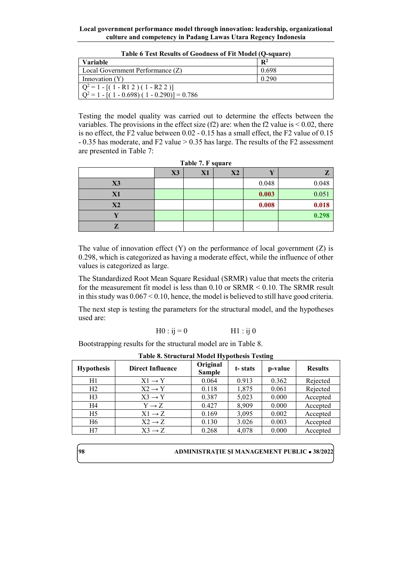| <b>Variable</b>                              | $\mathbf{R}^2$ |
|----------------------------------------------|----------------|
| Local Government Performance (Z)             | 0.698          |
| Innovation $(Y)$                             | 0.290          |
| $Q^2 = 1 - [(1 - R12)(1 - R22)]$             |                |
| $Q^2 = 1 - [(1 - 0.698)(1 - 0.290)] = 0.786$ |                |

**Table 6 Test Results of Goodness of Fit Model (Q-square)**

Testing the model quality was carried out to determine the effects between the variables. The provisions in the effect size  $(f2)$  are: when the f2 value is  $\leq 0.02$ , there is no effect, the F2 value between 0.02 - 0.15 has a small effect, the F2 value of 0.15 - 0.35 has moderate, and F2 value > 0.35 has large. The results of the F2 assessment are presented in Table 7:

| Table 7. F square                    |  |  |  |       |       |  |  |  |  |  |
|--------------------------------------|--|--|--|-------|-------|--|--|--|--|--|
| X2<br>X3<br>X1<br>$\mathbf{z}$<br>V) |  |  |  |       |       |  |  |  |  |  |
| X3                                   |  |  |  | 0.048 | 0.048 |  |  |  |  |  |
| X1                                   |  |  |  | 0.003 | 0.051 |  |  |  |  |  |
| X2                                   |  |  |  | 0.008 | 0.018 |  |  |  |  |  |
|                                      |  |  |  |       | 0.298 |  |  |  |  |  |
|                                      |  |  |  |       |       |  |  |  |  |  |

The value of innovation effect  $(Y)$  on the performance of local government  $(Z)$  is 0.298, which is categorized as having a moderate effect, while the influence of other values is categorized as large.

The Standardized Root Mean Square Residual (SRMR) value that meets the criteria for the measurement fit model is less than 0.10 or SRMR < 0.10. The SRMR result in this study was 0.067 < 0.10, hence, the model is believed to still have good criteria.

The next step is testing the parameters for the structural model, and the hypotheses used are:

$$
H0:ij=0
$$
 
$$
H1:ij 0
$$

Bootstrapping results for the structural model are in Table 8.

| <b>Hypothesis</b> | <b>Direct Influence</b> | Original<br><b>Sample</b> | t-stats | p-value | <b>Results</b> |
|-------------------|-------------------------|---------------------------|---------|---------|----------------|
| H1                | $X1 \rightarrow Y$      | 0.064                     | 0.913   | 0.362   | Rejected       |
| H2                | $X2 \rightarrow Y$      | 0.118                     | 1,875   | 0.061   | Rejected       |
| H <sub>3</sub>    | $X3 \rightarrow Y$      | 0.387                     | 5.023   | 0.000   | Accepted       |
| H4                | $Y \rightarrow Z$       | 0.427                     | 8,909   | 0.000   | Accepted       |
| H5                | $X1 \rightarrow Z$      | 0.169                     | 3,095   | 0.002   | Accepted       |
| H6                | $X2 \rightarrow Z$      | 0.130                     | 3.026   | 0.003   | Accepted       |
| H7                | $X3 \rightarrow Z$      | 0.268                     | 4,078   | 0.000   | Accepted       |

**Table 8. Structural Model Hypothesis Testing**

| 98 | <b>ADMINISTRATIE SI MANAGEMENT PUBLIC • 38/2022</b> |  |
|----|-----------------------------------------------------|--|
|    |                                                     |  |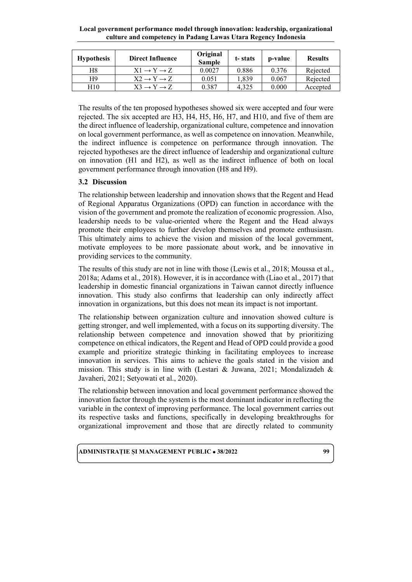| <b>Hypothesis</b> | <b>Direct Influence</b>          | Original<br><b>Sample</b> | t-stats | p-value | <b>Results</b> |
|-------------------|----------------------------------|---------------------------|---------|---------|----------------|
| Η8                | $X1 \rightarrow Y \rightarrow Z$ | 0.0027                    | 0.886   | 0.376   | Rejected       |
| Η9                | $X2 \rightarrow Y \rightarrow Z$ | 0.051                     | 1.839   | 0.067   | Rejected       |
| H10               | $X3 \rightarrow Y \rightarrow Z$ | 0.387                     | 4.325   | 0.000   | Accepted       |

The results of the ten proposed hypotheses showed six were accepted and four were rejected. The six accepted are H3, H4, H5, H6, H7, and H10, and five of them are the direct influence of leadership, organizational culture, competence and innovation on local government performance, as well as competence on innovation. Meanwhile, the indirect influence is competence on performance through innovation. The rejected hypotheses are the direct influence of leadership and organizational culture on innovation (H1 and H2), as well as the indirect influence of both on local government performance through innovation (H8 and H9).

# **3.2 Discussion**

The relationship between leadership and innovation shows that the Regent and Head of Regional Apparatus Organizations (OPD) can function in accordance with the vision of the government and promote the realization of economic progression. Also, leadership needs to be value-oriented where the Regent and the Head always promote their employees to further develop themselves and promote enthusiasm. This ultimately aims to achieve the vision and mission of the local government, motivate employees to be more passionate about work, and be innovative in providing services to the community.

The results of this study are not in line with those (Lewis et al., 2018; Moussa et al., 2018a; Adams et al., 2018). However, it is in accordance with (Liao et al., 2017) that leadership in domestic financial organizations in Taiwan cannot directly influence innovation. This study also confirms that leadership can only indirectly affect innovation in organizations, but this does not mean its impact is not important.

The relationship between organization culture and innovation showed culture is getting stronger, and well implemented, with a focus on its supporting diversity. The relationship between competence and innovation showed that by prioritizing competence on ethical indicators, the Regent and Head of OPD could provide a good example and prioritize strategic thinking in facilitating employees to increase innovation in services. This aims to achieve the goals stated in the vision and mission. This study is in line with (Lestari & Juwana, 2021; Mondalizadeh & Javaheri, 2021; Setyowati et al., 2020).

The relationship between innovation and local government performance showed the innovation factor through the system is the most dominant indicator in reflecting the variable in the context of improving performance. The local government carries out its respective tasks and functions, specifically in developing breakthroughs for organizational improvement and those that are directly related to community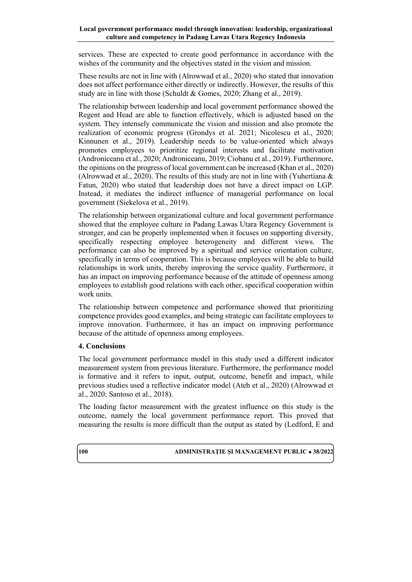services. These are expected to create good performance in accordance with the wishes of the community and the objectives stated in the vision and mission.

These results are not in line with (Alrowwad et al., 2020) who stated that innovation does not affect performance either directly or indirectly. However, the results of this study are in line with those (Schuldt & Gomes, 2020; Zhang et al., 2019).

The relationship between leadership and local government performance showed the Regent and Head are able to function effectively, which is adjusted based on the system. They intensely communicate the vision and mission and also promote the realization of economic progress (Grondys et al. 2021; Nicolescu et al., 2020; Kinnunen et al., 2019). Leadership needs to be value-oriented which always promotes employees to prioritize regional interests and facilitate motivation (Androniceanu et al., 2020; Androniceanu, 2019; Ciobanu et al., 2019). Furthermore, the opinions on the progress of local government can be increased (Khan et al., 2020) (Alrowwad et al., 2020). The results of this study are not in line with (Yuhertiana & Fatun, 2020) who stated that leadership does not have a direct impact on LGP. Instead, it mediates the indirect influence of managerial performance on local government (Siekelova et al., 2019).

The relationship between organizational culture and local government performance showed that the employee culture in Padang Lawas Utara Regency Government is stronger, and can be properly implemented when it focuses on supporting diversity, specifically respecting employee heterogeneity and different views. The performance can also be improved by a spiritual and service orientation culture, specifically in terms of cooperation. This is because employees will be able to build relationships in work units, thereby improving the service quality. Furthermore, it has an impact on improving performance because of the attitude of openness among employees to establish good relations with each other, specifical cooperation within work units.

The relationship between competence and performance showed that prioritizing competence provides good examples, and being strategic can facilitate employees to improve innovation. Furthermore, it has an impact on improving performance because of the attitude of openness among employees.

## **4. Conclusions**

The local government performance model in this study used a different indicator measurement system from previous literature. Furthermore, the performance model is formative and it refers to input, output, outcome, benefit and impact, while previous studies used a reflective indicator model (Ateh et al., 2020) (Alrowwad et al., 2020; Santoso et al., 2018).

The loading factor measurement with the greatest influence on this study is the outcome, namely the local government performance report. This proved that measuring the results is more difficult than the output as stated by (Ledford, E and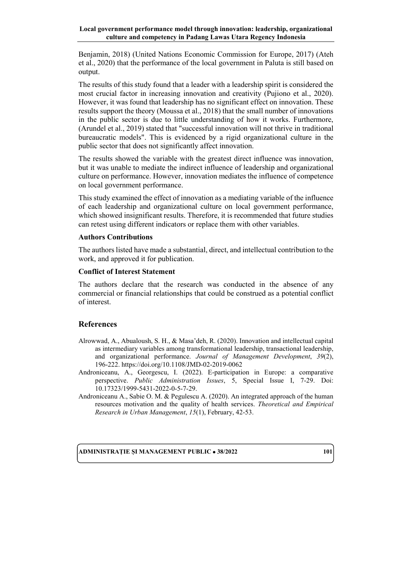Benjamin, 2018) (United Nations Economic Commission for Europe, 2017) (Ateh et al., 2020) that the performance of the local government in Paluta is still based on output.

The results of this study found that a leader with a leadership spirit is considered the most crucial factor in increasing innovation and creativity (Pujiono et al., 2020). However, it was found that leadership has no significant effect on innovation. These results support the theory (Moussa et al., 2018) that the small number of innovations in the public sector is due to little understanding of how it works. Furthermore, (Arundel et al., 2019) stated that "successful innovation will not thrive in traditional bureaucratic models". This is evidenced by a rigid organizational culture in the public sector that does not significantly affect innovation.

The results showed the variable with the greatest direct influence was innovation, but it was unable to mediate the indirect influence of leadership and organizational culture on performance. However, innovation mediates the influence of competence on local government performance.

This study examined the effect of innovation as a mediating variable of the influence of each leadership and organizational culture on local government performance, which showed insignificant results. Therefore, it is recommended that future studies can retest using different indicators or replace them with other variables.

## **Authors Contributions**

The authors listed have made a substantial, direct, and intellectual contribution to the work, and approved it for publication.

## **Conflict of Interest Statement**

The authors declare that the research was conducted in the absence of any commercial or financial relationships that could be construed as a potential conflict of interest.

# **References**

- Alrowwad, A., Abualoush, S. H., & Masa'deh, R. (2020). Innovation and intellectual capital as intermediary variables among transformational leadership, transactional leadership, and organizational performance. *Journal of Management Development*, *39*(2), 196-222. https://doi.org/10.1108/JMD-02-2019-0062
- Androniceanu, A., Georgescu, I. (2022). E-participation in Europe: a comparative perspective. *Public Administration Issues*, 5, Special Issue I, 7-29. Doi: 10.17323/1999-5431-2022-0-5-7-29.
- Androniceanu A., Sabie O. M. & Pegulescu A. (2020). An integrated approach of the human resources motivation and the quality of health services. *Theoretical and Empirical Research in Urban Management*, *15*(1), February, 42-53.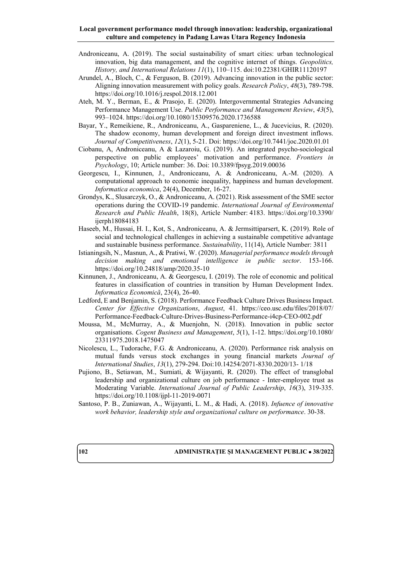- Androniceanu, A. (2019). The social sustainability of smart cities: urban technological innovation, big data management, and the cognitive internet of things. *Geopolitics, History, and International Relations 11*(1), 110–115. doi:10.22381/GHIR11120197
- Arundel, A., Bloch, C., & Ferguson, B. (2019). Advancing innovation in the public sector: Aligning innovation measurement with policy goals. *Research Policy*, *48*(3), 789-798. https://doi.org/10.1016/j.respol.2018.12.001
- Ateh, M. Y., Berman, E., & Prasojo, E. (2020). Intergovernmental Strategies Advancing Performance Management Use. *Public Performance and Management Review*, *43*(5), 993–1024. https://doi.org/10.1080/15309576.2020.1736588
- Bayar, Y., Remeikiene, R., Androniceanu, A., Gaspareniene, L., & Jucevicius, R. (2020). The shadow economy, human development and foreign direct investment inflows. *Journal of Competitiveness*, *12*(1), 5-21. Doi:<https://doi.org/10.7441/joc.2020.01.01>
- Ciobanu, A, Androniceanu, A & Lazaroiu, G. (2019). An integrated psycho-sociological perspective on public employees' motivation and performance. *Frontiers in Psychology*, 10; Article number: 36. Doi: 10.3389/fpsyg.2019.00036
- Georgescu, I., Kinnunen, J., Androniceanu, A. & Androniceanu, A.-M. (2020). A computational approach to economic inequality, happiness and human development. *Informatica economica*, 24(4), December, 16-27.
- [Grondys, K.,](https://apps-webofknowledge-com.am.e-nformation.ro/OneClickSearch.do?product=WOS&search_mode=OneClickSearch&excludeEventConfig=ExcludeIfFromFullRecPage&colName=WOS&SID=E1a8Eg5JyxbqrKrYsDn&field=AU&value=Grondys,%20Katarzyna) [Slusarczyk, O.,](https://apps-webofknowledge-com.am.e-nformation.ro/OneClickSearch.do?product=WOS&search_mode=OneClickSearch&excludeEventConfig=ExcludeIfFromFullRecPage&colName=WOS&SID=E1a8Eg5JyxbqrKrYsDn&field=AU&value=Slusarczyk,%20Oliwia) & Androniceanu, A. (2021). Risk assessment [of the SME sector](https://apps-webofknowledge-com.am.e-nformation.ro/full_record.do?product=WOS&search_mode=GeneralSearch&qid=3&SID=E1a8Eg5JyxbqrKrYsDn&page=1&doc=1&cacheurlFromRightClick=no)  operations [during the COVID-19 pandemic.](https://apps-webofknowledge-com.am.e-nformation.ro/full_record.do?product=WOS&search_mode=GeneralSearch&qid=3&SID=E1a8Eg5JyxbqrKrYsDn&page=1&doc=1&cacheurlFromRightClick=no) *[International Journal of Environmental](javascript:;)  [Research and Public Health](javascript:;)*, 18(8), Article Number: 4183.<https://doi.org/10.3390/> ijerph18084183
- Haseeb, M., Hussai, H. I., Kot, S., [Androniceanu, A.](http://apps.webofknowledge.com.am.e-nformation.ro/OneClickSearch.do?product=WOS&search_mode=OneClickSearch&excludeEventConfig=ExcludeIfFromFullRecPage&colName=WOS&SID=D4QRmbEtd7X5C2KoxMQ&field=AU&value=Androniceanu,%20A) & Jermsittiparsert, K. (2019). Role of social and technological challenges in achieving a sustainable competitive advantage and sustainable business performance. *Sustainability*, 11(14), Article Number: 3811
- Istianingsih, N., Masnun, A., & Pratiwi, W. (2020). *Managerial performance models through decision making and emotional intelligence in public sector*. 153-166. https://doi.org/10.24818/amp/2020.35-10
- Kinnunen, J., Androniceanu, A. & Georgescu, I. (2019). The role of economic and political features in classification of countries in transition by Human Development Index. *Informatica Economică*, 23(4), 26-40.
- Ledford, E and Benjamin, S. (2018). Performance Feedback Culture Drives Business Impact. *Center for Effective Organizations*, *August*, 41. https://ceo.usc.edu/files/2018/07/ Performance-Feedback-Culture-Drives-Business-Performance-i4cp-CEO-002.pdf
- Moussa, M., McMurray, A., & Muenjohn, N. (2018). Innovation in public sector organisations. *Cogent Business and Management*, *5*(1), 1-12. https://doi.org/10.1080/ 23311975.2018.1475047
- Nicolescu, L., Tudorache, F.G. & Androniceanu, A. (2020). Performance risk analysis on mutual funds versus stock exchanges in young financial markets *Journal of International Studies*, *13*(1), 279-294. Doi:10.14254/2071-8330.2020/13- 1/18
- Pujiono, B., Setiawan, M., Sumiati, & Wijayanti, R. (2020). The effect of transglobal leadership and organizational culture on job performance - Inter-employee trust as Moderating Variable. *International Journal of Public Leadership*, *16*(3), 319-335. https://doi.org/10.1108/ijpl-11-2019-0071
- Santoso, P. B., Zuniawan, A., Wijayanti, L. M., & Hadi, A. (2018). *Infuence of innovative work behavior, leadership style and organizational culture on performance*. 30-38.